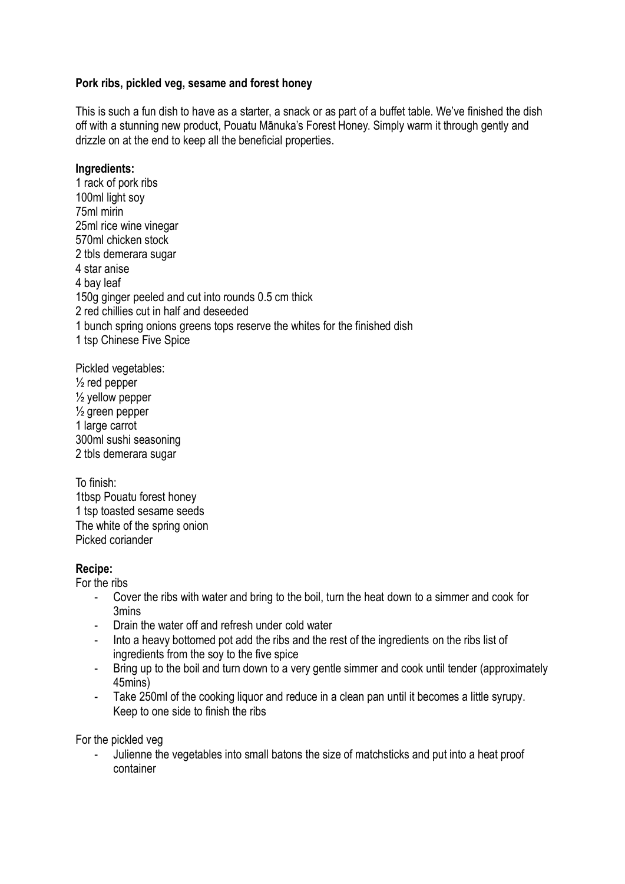## **Pork ribs, pickled veg, sesame and forest honey**

This is such a fun dish to have as a starter, a snack or as part of a buffet table. We've finished the dish off with a stunning new product, Pouatu Mānuka's Forest Honey. Simply warm it through gently and drizzle on at the end to keep all the beneficial properties.

#### **Ingredients:**

1 rack of pork ribs 100ml light soy 75ml mirin 25ml rice wine vinegar 570ml chicken stock 2 tbls demerara sugar 4 star anise 4 bay leaf 150g ginger peeled and cut into rounds 0.5 cm thick 2 red chillies cut in half and deseeded 1 bunch spring onions greens tops reserve the whites for the finished dish 1 tsp Chinese Five Spice

Pickled vegetables:  $\frac{1}{2}$  red pepper  $\frac{1}{2}$  yellow pepper  $\frac{1}{2}$  green pepper 1 large carrot 300ml sushi seasoning 2 tbls demerara sugar

To finish: 1tbsp Pouatu forest honey 1 tsp toasted sesame seeds The white of the spring onion Picked coriander

## **Recipe:**

For the ribs

- Cover the ribs with water and bring to the boil, turn the heat down to a simmer and cook for 3mins
- Drain the water off and refresh under cold water
- Into a heavy bottomed pot add the ribs and the rest of the ingredients on the ribs list of ingredients from the soy to the five spice
- Bring up to the boil and turn down to a very gentle simmer and cook until tender (approximately 45mins)
- Take 250ml of the cooking liquor and reduce in a clean pan until it becomes a little syrupy. Keep to one side to finish the ribs

For the pickled veg

- Julienne the vegetables into small batons the size of matchsticks and put into a heat proof container